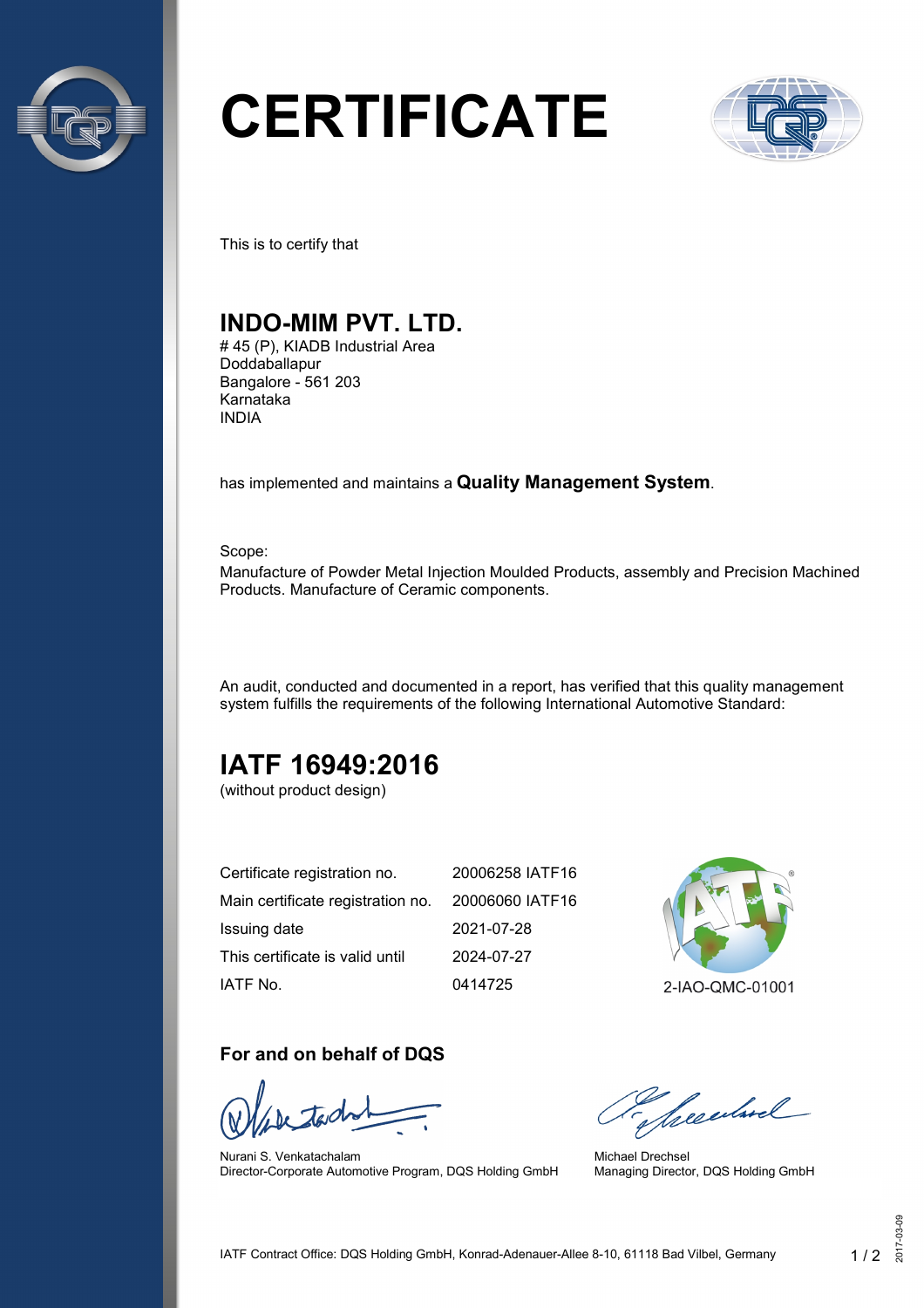

# **CERTIFICATE**



This is to certify that

## **INDO-MIM PVT. LTD.**

# 45 (P), KIADB Industrial Area Doddaballapur Bangalore - 561 203 Karnataka INDIA

has implemented and maintains a **Quality Management System**.

Scope:

Manufacture of Powder Metal Injection Moulded Products, assembly and Precision Machined Products. Manufacture of Ceramic components.

An audit, conducted and documented in a report, has verified that this quality management system fulfills the requirements of the following International Automotive Standard:

# **IATF 16949:2016**

(without product design)

| Certificate registration no.                      | 20006258 IATF16 |
|---------------------------------------------------|-----------------|
| Main certificate registration no. 20006060 IATF16 |                 |
| Issuing date                                      | 2021-07-28      |
| This certificate is valid until                   | 2024-07-27      |
| IATF No.                                          | 0414725         |



#### **For and on behalf of DQS**

Nurani S. Venkatachalam Director-Corporate Automotive Program, DQS Holding GmbH

Secularel

Michael Drechsel Managing Director, DQS Holding GmbH